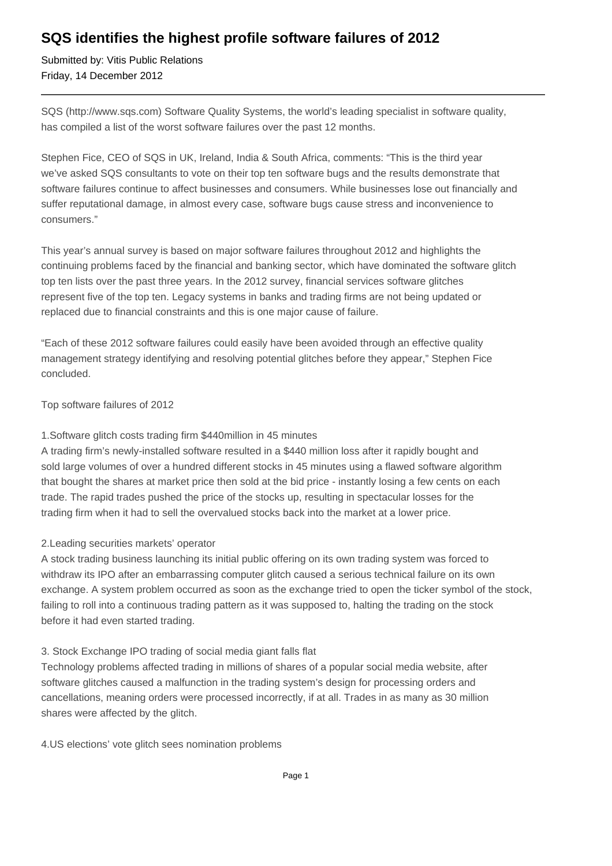## **SQS identifies the highest profile software failures of 2012**

Submitted by: Vitis Public Relations Friday, 14 December 2012

SQS (http://www.sqs.com) Software Quality Systems, the world's leading specialist in software quality, has compiled a list of the worst software failures over the past 12 months.

Stephen Fice, CEO of SQS in UK, Ireland, India & South Africa, comments: "This is the third year we've asked SQS consultants to vote on their top ten software bugs and the results demonstrate that software failures continue to affect businesses and consumers. While businesses lose out financially and suffer reputational damage, in almost every case, software bugs cause stress and inconvenience to consumers."

This year's annual survey is based on major software failures throughout 2012 and highlights the continuing problems faced by the financial and banking sector, which have dominated the software glitch top ten lists over the past three years. In the 2012 survey, financial services software glitches represent five of the top ten. Legacy systems in banks and trading firms are not being updated or replaced due to financial constraints and this is one major cause of failure.

"Each of these 2012 software failures could easily have been avoided through an effective quality management strategy identifying and resolving potential glitches before they appear," Stephen Fice concluded.

Top software failures of 2012

#### 1. Software glitch costs trading firm \$440million in 45 minutes

A trading firm's newly-installed software resulted in a \$440 million loss after it rapidly bought and sold large volumes of over a hundred different stocks in 45 minutes using a flawed software algorithm that bought the shares at market price then sold at the bid price - instantly losing a few cents on each trade. The rapid trades pushed the price of the stocks up, resulting in spectacular losses for the trading firm when it had to sell the overvalued stocks back into the market at a lower price.

#### 2. Leading securities markets' operator

A stock trading business launching its initial public offering on its own trading system was forced to withdraw its IPO after an embarrassing computer glitch caused a serious technical failure on its own exchange. A system problem occurred as soon as the exchange tried to open the ticker symbol of the stock, failing to roll into a continuous trading pattern as it was supposed to, halting the trading on the stock before it had even started trading.

#### 3. Stock Exchange IPO trading of social media giant falls flat

Technology problems affected trading in millions of shares of a popular social media website, after software glitches caused a malfunction in the trading system's design for processing orders and cancellations, meaning orders were processed incorrectly, if at all. Trades in as many as 30 million shares were affected by the glitch.

4. US elections' vote glitch sees nomination problems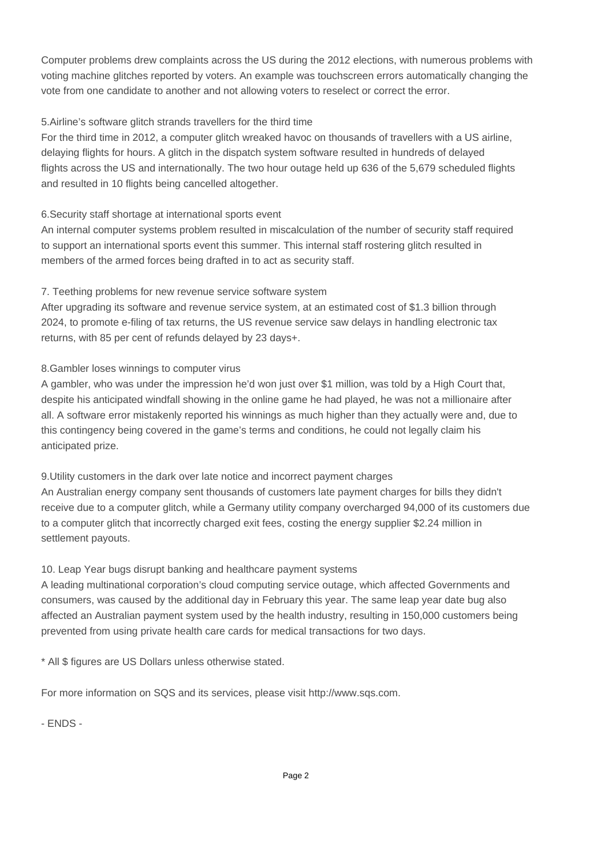Computer problems drew complaints across the US during the 2012 elections, with numerous problems with voting machine glitches reported by voters. An example was touchscreen errors automatically changing the vote from one candidate to another and not allowing voters to reselect or correct the error.

#### 5. Airline's software glitch strands travellers for the third time

For the third time in 2012, a computer glitch wreaked havoc on thousands of travellers with a US airline, delaying flights for hours. A glitch in the dispatch system software resulted in hundreds of delayed flights across the US and internationally. The two hour outage held up 636 of the 5,679 scheduled flights and resulted in 10 flights being cancelled altogether.

#### 6. Security staff shortage at international sports event

An internal computer systems problem resulted in miscalculation of the number of security staff required to support an international sports event this summer. This internal staff rostering glitch resulted in members of the armed forces being drafted in to act as security staff.

### 7. Teething problems for new revenue service software system

After upgrading its software and revenue service system, at an estimated cost of \$1.3 billion through 2024, to promote e-filing of tax returns, the US revenue service saw delays in handling electronic tax returns, with 85 per cent of refunds delayed by 23 days+.

#### 8. Gambler loses winnings to computer virus

A gambler, who was under the impression he'd won just over \$1 million, was told by a High Court that, despite his anticipated windfall showing in the online game he had played, he was not a millionaire after all. A software error mistakenly reported his winnings as much higher than they actually were and, due to this contingency being covered in the game's terms and conditions, he could not legally claim his anticipated prize.

#### 9. Utility customers in the dark over late notice and incorrect payment charges

An Australian energy company sent thousands of customers late payment charges for bills they didn't receive due to a computer glitch, while a Germany utility company overcharged 94,000 of its customers due to a computer glitch that incorrectly charged exit fees, costing the energy supplier \$2.24 million in settlement payouts.

#### 10. Leap Year bugs disrupt banking and healthcare payment systems

A leading multinational corporation's cloud computing service outage, which affected Governments and consumers, was caused by the additional day in February this year. The same leap year date bug also affected an Australian payment system used by the health industry, resulting in 150,000 customers being prevented from using private health care cards for medical transactions for two days.

\* All \$ figures are US Dollars unless otherwise stated.

For more information on SQS and its services, please visit http://www.sqs.com.

- ENDS -